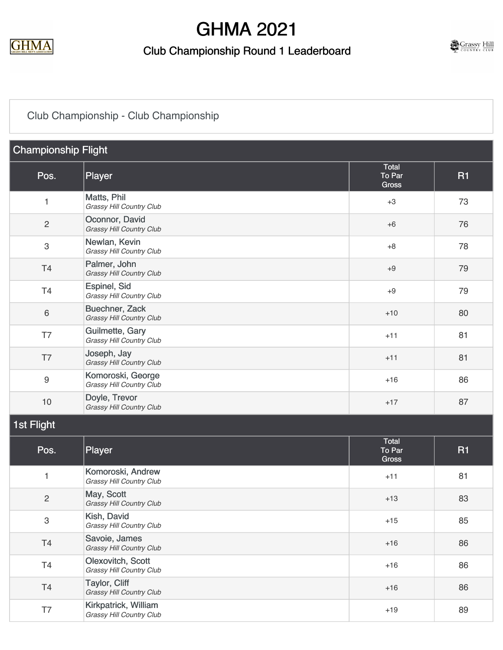

#### Club Championship Round 1 Leaderboard



### [Club Championship - Club Championship](https://cdn2.golfgenius.com/v2tournaments/7722873405665464680?called_from=&round_index=21)

| <b>Championship Flight</b> |                                                   |                                 |           |
|----------------------------|---------------------------------------------------|---------------------------------|-----------|
| Pos.                       | <b>Player</b>                                     | Total<br>To Par<br><b>Gross</b> | <b>R1</b> |
| $\mathbf{1}$               | Matts, Phil<br>Grassy Hill Country Club           | $+3$                            | 73        |
| $\mathbf{2}$               | Oconnor, David<br>Grassy Hill Country Club        | $+6$                            | 76        |
| $\,3$                      | Newlan, Kevin<br>Grassy Hill Country Club         | $+8$                            | 78        |
| T <sub>4</sub>             | Palmer, John<br>Grassy Hill Country Club          | $+9$                            | 79        |
| T <sub>4</sub>             | Espinel, Sid<br>Grassy Hill Country Club          | $+9$                            | 79        |
| $\,6\,$                    | <b>Buechner, Zack</b><br>Grassy Hill Country Club | $+10$                           | 80        |
| T7                         | Guilmette, Gary<br>Grassy Hill Country Club       | $+11$                           | 81        |
| T7                         | Joseph, Jay<br>Grassy Hill Country Club           | $+11$                           | 81        |
| $\boldsymbol{9}$           | Komoroski, George<br>Grassy Hill Country Club     | $+16$                           | 86        |
| 10                         | Doyle, Trevor<br>Grassy Hill Country Club         | $+17$                           | 87        |
| 1st Flight                 |                                                   |                                 |           |
| Pos.                       | Player                                            | Total<br>To Par<br>Gross        | <b>R1</b> |
| $\mathbf{1}$               | Komoroski, Andrew<br>Grassy Hill Country Club     | $+11$                           | 81        |
| $\overline{c}$             | May, Scott<br>Grassy Hill Country Club            | $+13$                           | 83        |
| 3                          | Kish, David<br>Grassy Hill Country Club           | $+15$                           | 85        |
| T <sub>4</sub>             | Savoie, James<br>Grassy Hill Country Club         | $+16$                           | 86        |
| T <sub>4</sub>             | Olexovitch, Scott<br>Grassy Hill Country Club     | $+16$                           | 86        |
| T <sub>4</sub>             | Taylor, Cliff<br>Grassy Hill Country Club         | $+16$                           | 86        |
| T7                         | Kirkpatrick, William<br>Grassy Hill Country Club  | $+19$                           | 89        |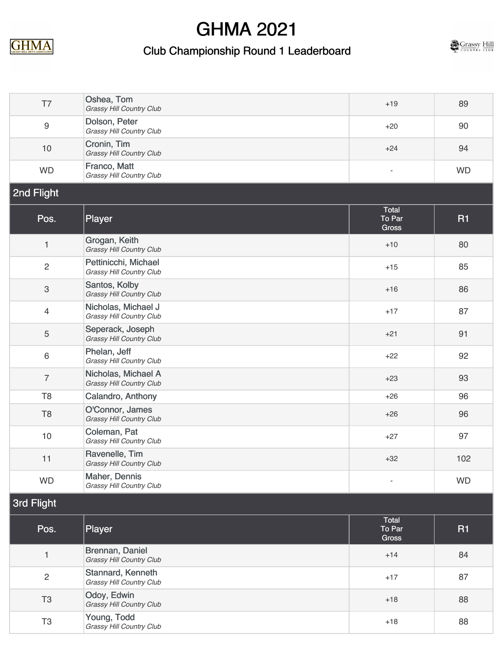

### Club Championship Round 1 Leaderboard



| T7               | Oshea, Tom<br>Grassy Hill Country Club           | $+19$                           | 89        |
|------------------|--------------------------------------------------|---------------------------------|-----------|
| $\boldsymbol{9}$ | Dolson, Peter<br>Grassy Hill Country Club        | $+20$                           | 90        |
| 10               | Cronin, Tim<br>Grassy Hill Country Club          | $+24$                           | 94        |
| <b>WD</b>        | Franco, Matt<br>Grassy Hill Country Club         | $\overline{\phantom{a}}$        | <b>WD</b> |
| 2nd Flight       |                                                  |                                 |           |
| Pos.             | Player                                           | Total<br>To Par<br>Gross        | <b>R1</b> |
| $\mathbf{1}$     | Grogan, Keith<br>Grassy Hill Country Club        | $+10$                           | 80        |
| $\overline{2}$   | Pettinicchi, Michael<br>Grassy Hill Country Club | $+15$                           | 85        |
| $\sqrt{3}$       | Santos, Kolby<br>Grassy Hill Country Club        | $+16$                           | 86        |
| $\overline{4}$   | Nicholas, Michael J<br>Grassy Hill Country Club  | $+17$                           | 87        |
| 5                | Seperack, Joseph<br>Grassy Hill Country Club     | $+21$                           | 91        |
| $\,6\,$          | Phelan, Jeff<br>Grassy Hill Country Club         | $+22$                           | 92        |
| $\overline{7}$   | Nicholas, Michael A<br>Grassy Hill Country Club  | $+23$                           | 93        |
| T <sub>8</sub>   | Calandro, Anthony                                | $+26$                           | 96        |
| T <sub>8</sub>   | O'Connor, James<br>Grassy Hill Country Club      | $+26$                           | 96        |
| 10               | Coleman, Pat<br>Grassy Hill Country Club         | $+27$                           | 97        |
| 11               | Ravenelle, Tim<br>Grassy Hill Country Club       | $+32$                           | 102       |
| <b>WD</b>        | Maher, Dennis<br>Grassy Hill Country Club        | $\overline{\phantom{a}}$        | <b>WD</b> |
| 3rd Flight       |                                                  |                                 |           |
| Pos.             | Player                                           | Total<br>To Par<br><b>Gross</b> | <b>R1</b> |
| $\mathbf{1}$     | Brennan, Daniel<br>Grassy Hill Country Club      | $+14$                           | 84        |
| $\overline{2}$   | Stannard, Kenneth<br>Grassy Hill Country Club    | $+17$                           | 87        |
| T <sub>3</sub>   | Odoy, Edwin<br>Grassy Hill Country Club          | $+18$                           | 88        |
| T <sub>3</sub>   | Young, Todd<br>Grassy Hill Country Club          | $+18$                           | 88        |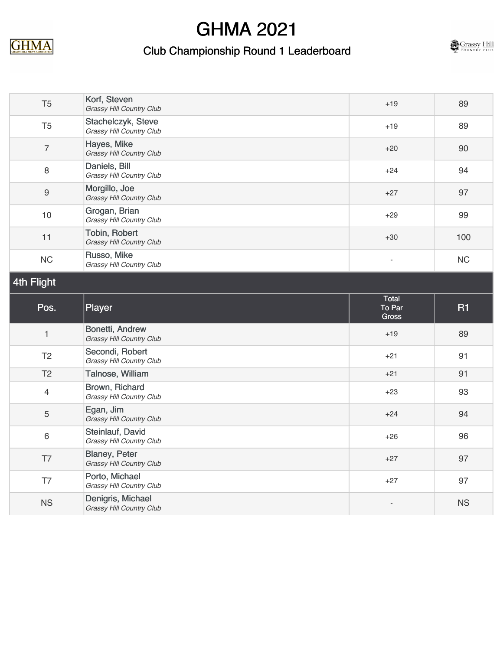

### Club Championship Round 1 Leaderboard



| T <sub>5</sub> | Korf, Steven<br><b>Grassy Hill Country Club</b>  | $+19$                    | 89        |
|----------------|--------------------------------------------------|--------------------------|-----------|
| T <sub>5</sub> | Stachelczyk, Steve<br>Grassy Hill Country Club   | $+19$                    | 89        |
| $\overline{7}$ | Hayes, Mike<br>Grassy Hill Country Club          | $+20$                    | 90        |
| $\,8\,$        | Daniels, Bill<br>Grassy Hill Country Club        | $+24$                    | 94        |
| 9              | Morgillo, Joe<br>Grassy Hill Country Club        | $+27$                    | 97        |
| 10             | Grogan, Brian<br>Grassy Hill Country Club        | $+29$                    | 99        |
| 11             | Tobin, Robert<br><b>Grassy Hill Country Club</b> | $+30$                    | 100       |
| <b>NC</b>      | Russo, Mike<br>Grassy Hill Country Club          | $\overline{\phantom{a}}$ | <b>NC</b> |
| 4th Flight     |                                                  |                          |           |
|                |                                                  | Tatal.                   |           |

| Pos.                     | Player                                               | Total<br>To Par<br>Gross | <b>R1</b> |
|--------------------------|------------------------------------------------------|--------------------------|-----------|
| $\overline{\phantom{a}}$ | Bonetti, Andrew<br><b>Grassy Hill Country Club</b>   | $+19$                    | 89        |
| T <sub>2</sub>           | Secondi, Robert<br>Grassy Hill Country Club          | $+21$                    | 91        |
| T <sub>2</sub>           | Talnose, William                                     | $+21$                    | 91        |
| $\overline{4}$           | Brown, Richard<br>Grassy Hill Country Club           | $+23$                    | 93        |
| 5                        | Egan, Jim<br><b>Grassy Hill Country Club</b>         | $+24$                    | 94        |
| 6                        | Steinlauf, David<br>Grassy Hill Country Club         | $+26$                    | 96        |
| T7                       | <b>Blaney, Peter</b><br>Grassy Hill Country Club     | $+27$                    | 97        |
| T7                       | Porto, Michael<br>Grassy Hill Country Club           | $+27$                    | 97        |
| <b>NS</b>                | Denigris, Michael<br><b>Grassy Hill Country Club</b> |                          | <b>NS</b> |